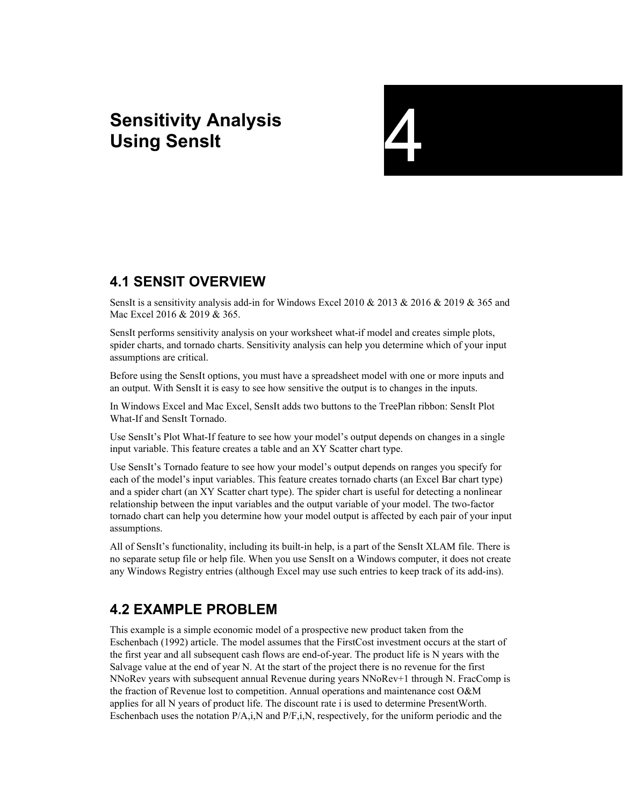# **Sensitivity Analysis**<br>
Using SensIt<br>
The Constant of The Constant of The Constant of The Constant of The Constant of The Constant of The Constant of The Constant of The Constant of The Constant of The Constant of The Cons



## **4.1 SENSIT OVERVIEW**

SensIt is a sensitivity analysis add-in for Windows Excel 2010 & 2013 & 2016 & 2019 & 365 and Mac Excel 2016 & 2019 & 365.

SensIt performs sensitivity analysis on your worksheet what-if model and creates simple plots, spider charts, and tornado charts. Sensitivity analysis can help you determine which of your input assumptions are critical.

Before using the SensIt options, you must have a spreadsheet model with one or more inputs and an output. With SensIt it is easy to see how sensitive the output is to changes in the inputs.

In Windows Excel and Mac Excel, SensIt adds two buttons to the TreePlan ribbon: SensIt Plot What-If and SensIt Tornado.

Use SensIt's Plot What-If feature to see how your model's output depends on changes in a single input variable. This feature creates a table and an XY Scatter chart type.

Use SensIt's Tornado feature to see how your model's output depends on ranges you specify for each of the model's input variables. This feature creates tornado charts (an Excel Bar chart type) and a spider chart (an XY Scatter chart type). The spider chart is useful for detecting a nonlinear relationship between the input variables and the output variable of your model. The two-factor tornado chart can help you determine how your model output is affected by each pair of your input assumptions.

All of SensIt's functionality, including its built-in help, is a part of the SensIt XLAM file. There is no separate setup file or help file. When you use SensIt on a Windows computer, it does not create any Windows Registry entries (although Excel may use such entries to keep track of its add-ins).

# **4.2 EXAMPLE PROBLEM**

This example is a simple economic model of a prospective new product taken from the Eschenbach (1992) article. The model assumes that the FirstCost investment occurs at the start of the first year and all subsequent cash flows are end-of-year. The product life is N years with the Salvage value at the end of year N. At the start of the project there is no revenue for the first NNoRev years with subsequent annual Revenue during years NNoRev+1 through N. FracComp is the fraction of Revenue lost to competition. Annual operations and maintenance cost O&M applies for all N years of product life. The discount rate i is used to determine PresentWorth. Eschenbach uses the notation P/A,i,N and P/F,i,N, respectively, for the uniform periodic and the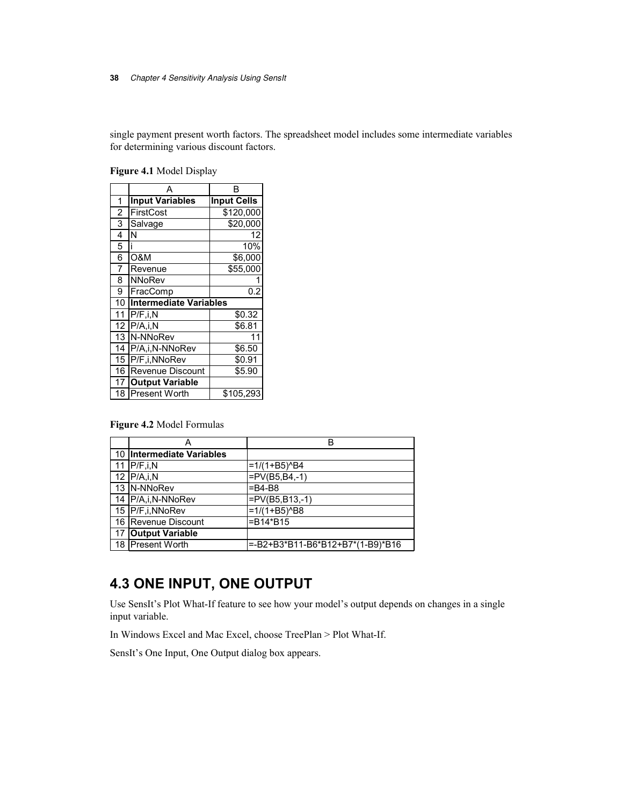single payment present worth factors. The spreadsheet model includes some intermediate variables for determining various discount factors.

|                |                               | R                  |
|----------------|-------------------------------|--------------------|
| 1              | <b>Input Variables</b>        | <b>Input Cells</b> |
| $\overline{c}$ | FirstCost                     | \$120,000          |
| 3              | Salvage                       | \$20,000           |
| 4              | N                             | 12                 |
| 5              |                               | 10%                |
| 6              | O&M                           | \$6,000            |
| 7              | Revenue                       | \$55,000           |
| 8              | NNoRev                        |                    |
| 9              | FracComp                      | 0.2                |
| 10             | <b>Intermediate Variables</b> |                    |
| 11             | P/F, i, N                     | \$0.32             |
| 12             | P/A, i, N                     | \$6.81             |
| 13             | N-NNoRev                      | 11                 |
| 14             | P/A,i,N-NNoRev                | \$6.50             |
| 15             | P/F,i,NNoRev                  | \$0.91             |
| 16             | <b>Revenue Discount</b>       | \$5.90             |
| 17             | <b>Output Variable</b>        |                    |
| 18             | Present Worth                 | \$105,293          |

**Figure 4.1** Model Display

**Figure 4.2** Model Formulas

|    | А                         | в                                 |
|----|---------------------------|-----------------------------------|
|    | 10 Intermediate Variables |                                   |
|    | 11 $P/F, i, N$            | $=1/(1+B5)^{6}$ B4                |
|    | 12 $PA, i, N$             | $=PV(B5,B4,-1)$                   |
|    | 13 N-NNoRev               | $=$ B4-B8                         |
|    | 14 P/A,i,N-NNoRev         | $=PV(B5,B13,-1)$                  |
|    | 15 P/F,i, NNoRev          | $=1/(1+B5)^{8}$                   |
|    | 16 Revenue Discount       | =B14*B15                          |
| 17 | <b>Output Variable</b>    |                                   |
|    | 18 Present Worth          | l=-B2+B3*B11-B6*B12+B7*(1-B9)*B16 |

# **4.3 ONE INPUT, ONE OUTPUT**

Use SensIt's Plot What-If feature to see how your model's output depends on changes in a single input variable.

In Windows Excel and Mac Excel, choose TreePlan > Plot What-If.

SensIt's One Input, One Output dialog box appears.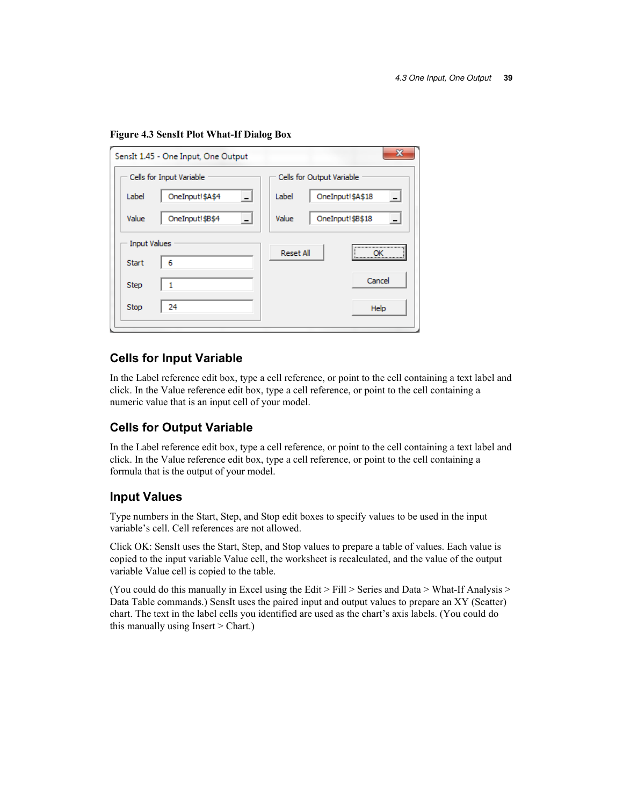|                     | SensIt 1.45 - One Input, One Output | $\mathbf{x}$              |  |  |  |  |
|---------------------|-------------------------------------|---------------------------|--|--|--|--|
|                     | Cells for Input Variable            | Cells for Output Variable |  |  |  |  |
| Label               | OneInput!\$A\$4                     | Label<br>OneInput!\$A\$18 |  |  |  |  |
| Value               | OneInput!\$B\$4                     | Value<br>OneInput!\$B\$18 |  |  |  |  |
| <b>Input Values</b> |                                     | <br><b>Reset All</b>      |  |  |  |  |
| <b>Start</b>        | 6                                   |                           |  |  |  |  |
| Step                | 1                                   | Cancel                    |  |  |  |  |
| Stop                | 24                                  | Help                      |  |  |  |  |
|                     |                                     |                           |  |  |  |  |

## **Cells for Input Variable**

In the Label reference edit box, type a cell reference, or point to the cell containing a text label and click. In the Value reference edit box, type a cell reference, or point to the cell containing a numeric value that is an input cell of your model.

## **Cells for Output Variable**

In the Label reference edit box, type a cell reference, or point to the cell containing a text label and click. In the Value reference edit box, type a cell reference, or point to the cell containing a formula that is the output of your model.

## **Input Values**

Type numbers in the Start, Step, and Stop edit boxes to specify values to be used in the input variable's cell. Cell references are not allowed.

Click OK: SensIt uses the Start, Step, and Stop values to prepare a table of values. Each value is copied to the input variable Value cell, the worksheet is recalculated, and the value of the output variable Value cell is copied to the table.

(You could do this manually in Excel using the Edit > Fill > Series and Data > What-If Analysis > Data Table commands.) SensIt uses the paired input and output values to prepare an XY (Scatter) chart. The text in the label cells you identified are used as the chart's axis labels. (You could do this manually using Insert > Chart.)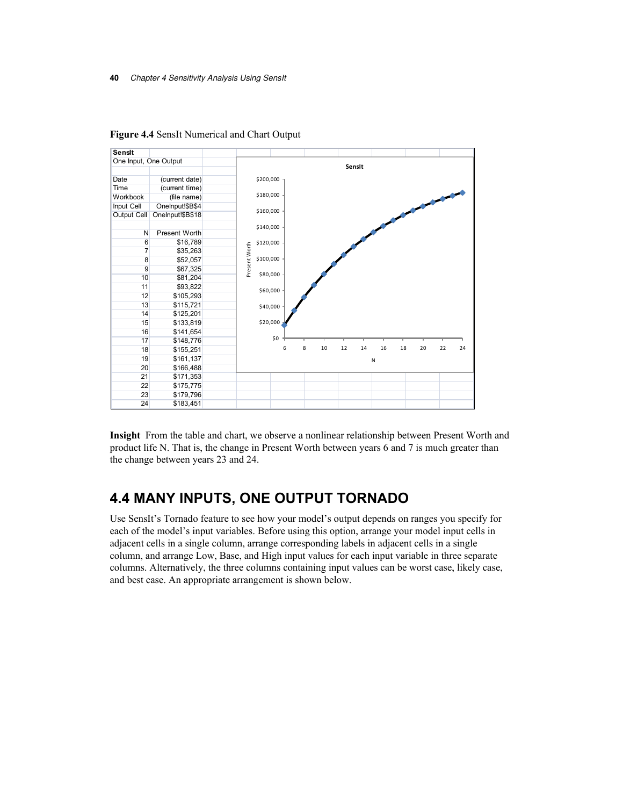

**Figure 4.4** SensIt Numerical and Chart Output

**Insight** From the table and chart, we observe a nonlinear relationship between Present Worth and product life N. That is, the change in Present Worth between years 6 and 7 is much greater than the change between years 23 and 24.

## **4.4 MANY INPUTS, ONE OUTPUT TORNADO**

Use SensIt's Tornado feature to see how your model's output depends on ranges you specify for each of the model's input variables. Before using this option, arrange your model input cells in adjacent cells in a single column, arrange corresponding labels in adjacent cells in a single column, and arrange Low, Base, and High input values for each input variable in three separate columns. Alternatively, the three columns containing input values can be worst case, likely case, and best case. An appropriate arrangement is shown below.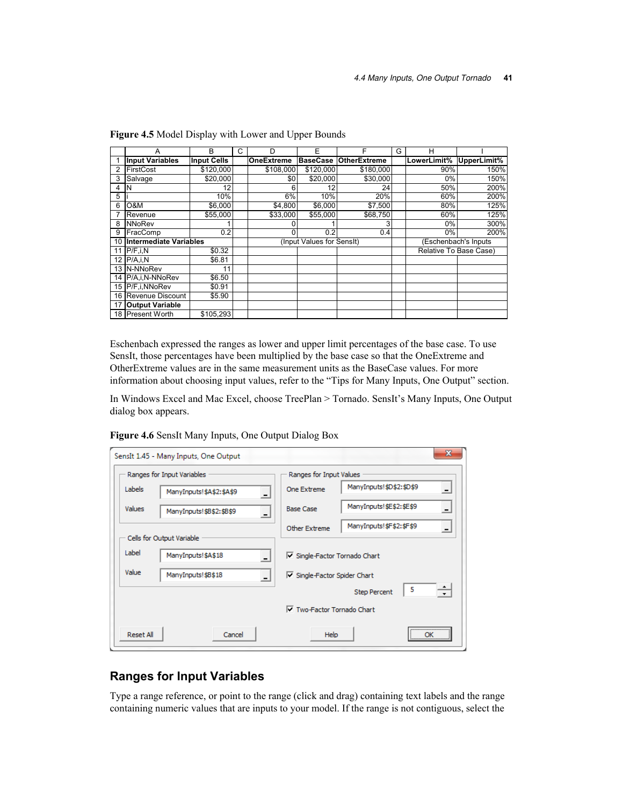|    | А                      | в                  | C | D                         | F               | F                   | G | н                      |             |  |
|----|------------------------|--------------------|---|---------------------------|-----------------|---------------------|---|------------------------|-------------|--|
|    | <b>Input Variables</b> | <b>Input Cells</b> |   | OneExtreme                | <b>BaseCase</b> | <b>OtherExtreme</b> |   | LowerLimit%            | UpperLimit% |  |
|    | FirstCost              | \$120,000          |   | \$108,000                 | \$120,000       | \$180,000           |   | 90%                    | 150%        |  |
| 3  | Salvage                | \$20,000           |   | \$0                       | \$20,000        | \$30,000            |   | $0\%$                  | 150%        |  |
| 4  | N                      | 12                 |   | 6                         | 12              | 24                  |   | 50%                    | 200%        |  |
| 5  |                        | 10%                |   | 6%                        | 10%             | 20%                 |   | 60%                    | 200%        |  |
| 6  | O&M                    | \$6,000            |   | \$4,800                   | \$6,000         | \$7,500             |   | 80%                    | 125%        |  |
|    | Revenue                | \$55.000           |   | \$33,000                  | \$55,000        | \$68,750            |   | 60%                    | 125%        |  |
| 8  | NNoRev                 |                    |   |                           |                 | 3                   |   | $0\%$                  | 300%        |  |
| 9  | FracComp               | 0.2                |   | 0                         | 0.2             | 0.4                 |   | 0%                     | 200%        |  |
| 10 | Intermediate Variables |                    |   | (Input Values for SensIt) |                 |                     |   | (Eschenbach's Inputs   |             |  |
|    | P/F, i, N              | \$0.32             |   |                           |                 |                     |   | Relative To Base Case) |             |  |
|    | 12 P/A,i,N             | \$6.81             |   |                           |                 |                     |   |                        |             |  |
|    | 13 N-NNoRev            | 11                 |   |                           |                 |                     |   |                        |             |  |
| 14 | P/A.i.N-NNoRev         | \$6.50             |   |                           |                 |                     |   |                        |             |  |
|    | 15 P/F.i.NNoRev        | \$0.91             |   |                           |                 |                     |   |                        |             |  |
| 16 | Revenue Discount       | \$5.90             |   |                           |                 |                     |   |                        |             |  |
|    | <b>Output Variable</b> |                    |   |                           |                 |                     |   |                        |             |  |
|    | 18 Present Worth       | \$105.293          |   |                           |                 |                     |   |                        |             |  |

**Figure 4.5** Model Display with Lower and Upper Bounds

Eschenbach expressed the ranges as lower and upper limit percentages of the base case. To use SensIt, those percentages have been multiplied by the base case so that the OneExtreme and OtherExtreme values are in the same measurement units as the BaseCase values. For more information about choosing input values, refer to the "Tips for Many Inputs, One Output" section.

In Windows Excel and Mac Excel, choose TreePlan > Tornado. SensIt's Many Inputs, One Output dialog box appears.

|                  | SensIt 1.45 - Many Inputs, One Output          |                                              | $\mathbf{x}$ |
|------------------|------------------------------------------------|----------------------------------------------|--------------|
|                  | Ranges for Input Variables                     | Ranges for Input Values                      |              |
| Labels           | ManyInputs!\$A\$2:\$A\$9                       | ManyInputs!\$D\$2:\$D\$9<br>One Extreme      |              |
| <b>Values</b>    | ManyInputs!\$B\$2:\$B\$9                       | ManyInputs!\$E\$2:\$E\$9<br><b>Base Case</b> |              |
|                  | Cells for Output Variable                      | ManyInputs!\$F\$2:\$F\$9<br>Other Extreme    |              |
|                  |                                                |                                              |              |
| Label            | ManyInputs!\$A\$18                             | Single-Factor Tornado Chart                  |              |
| Value            | ManyInputs!\$B\$18<br>$\overline{\phantom{a}}$ | Single-Factor Spider Chart                   |              |
|                  |                                                | - 5<br><b>Step Percent</b>                   |              |
|                  |                                                | $\nabla$ Two-Factor Tornado Chart            |              |
| <b>Reset All</b> | Cancel                                         | <br>Help<br>ок                               |              |

**Figure 4.6** SensIt Many Inputs, One Output Dialog Box

## **Ranges for Input Variables**

Type a range reference, or point to the range (click and drag) containing text labels and the range containing numeric values that are inputs to your model. If the range is not contiguous, select the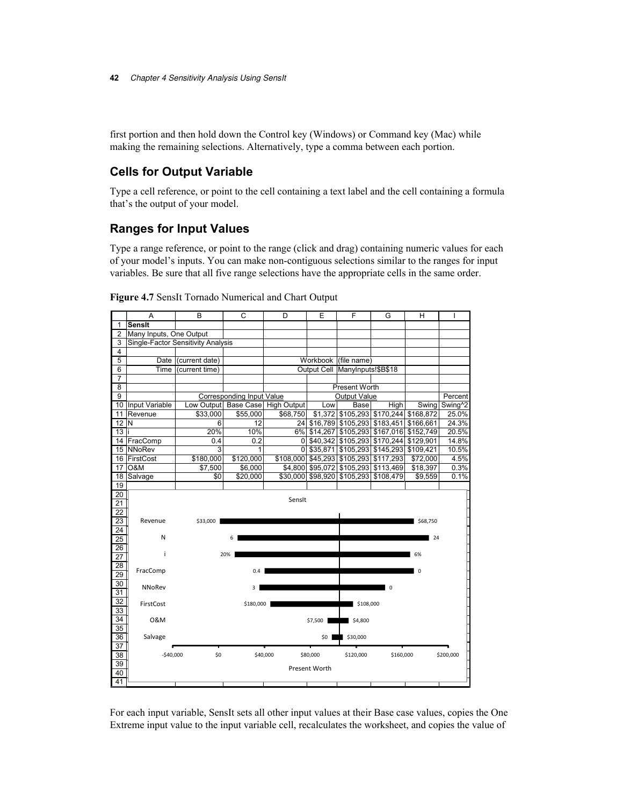first portion and then hold down the Control key (Windows) or Command key (Mac) while making the remaining selections. Alternatively, type a comma between each portion.

## **Cells for Output Variable**

Type a cell reference, or point to the cell containing a text label and the cell containing a formula that's the output of your model.

## **Ranges for Input Values**

Type a range reference, or point to the range (click and drag) containing numeric values for each of your model's inputs. You can make non-contiguous selections similar to the ranges for input variables. Be sure that all five range selections have the appropriate cells in the same order.



**Figure 4.7** SensIt Tornado Numerical and Chart Output

For each input variable, SensIt sets all other input values at their Base case values, copies the One Extreme input value to the input variable cell, recalculates the worksheet, and copies the value of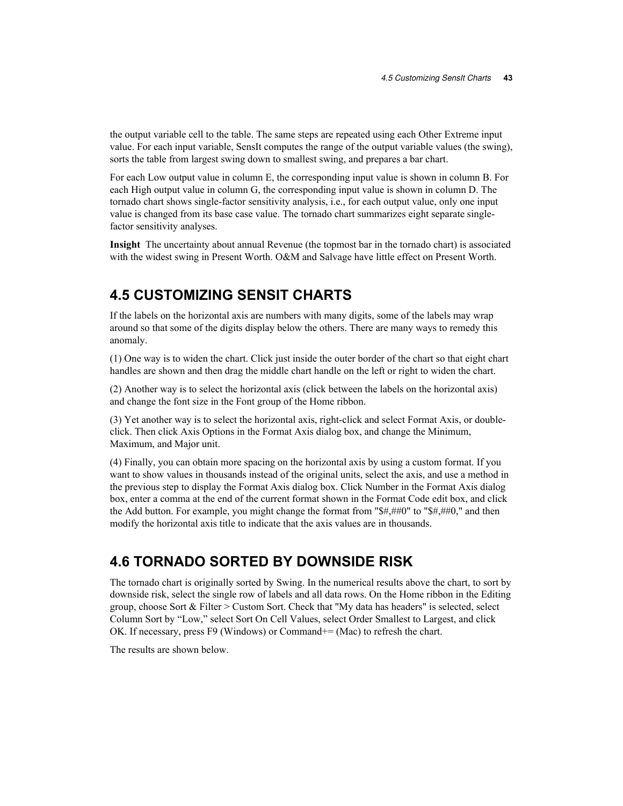the output variable cell to the table. The same steps are repeated using each Other Extreme input value. For each input variable, SensIt computes the range of the output variable values (the swing), sorts the table from largest swing down to smallest swing, and prepares a bar chart.

For each Low output value in column E, the corresponding input value is shown in column B. For each High output value in column G, the corresponding input value is shown in column D. The tornado chart shows single-factor sensitivity analysis, i.e., for each output value, only one input value is changed from its base case value. The tornado chart summarizes eight separate singlefactor sensitivity analyses.

**Insight** The uncertainty about annual Revenue (the topmost bar in the tornado chart) is associated with the widest swing in Present Worth. O&M and Salvage have little effect on Present Worth.

## **4.5 CUSTOMIZING SENSIT CHARTS**

If the labels on the horizontal axis are numbers with many digits, some of the labels may wrap around so that some of the digits display below the others. There are many ways to remedy this anomaly.

(1) One way is to widen the chart. Click just inside the outer border of the chart so that eight chart handles are shown and then drag the middle chart handle on the left or right to widen the chart.

(2) Another way is to select the horizontal axis (click between the labels on the horizontal axis) and change the font size in the Font group of the Home ribbon.

(3) Yet another way is to select the horizontal axis, right-click and select Format Axis, or doubleclick. Then click Axis Options in the Format Axis dialog box, and change the Minimum, Maximum, and Major unit.

(4) Finally, you can obtain more spacing on the horizontal axis by using a custom format. If you want to show values in thousands instead of the original units, select the axis, and use a method in the previous step to display the Format Axis dialog box. Click Number in the Format Axis dialog box, enter a comma at the end of the current format shown in the Format Code edit box, and click the Add button. For example, you might change the format from "\$#,##0" to "\$#,##0," and then modify the horizontal axis title to indicate that the axis values are in thousands.

## **4.6 TORNADO SORTED BY DOWNSIDE RISK**

The tornado chart is originally sorted by Swing. In the numerical results above the chart, to sort by downside risk, select the single row of labels and all data rows. On the Home ribbon in the Editing group, choose Sort & Filter > Custom Sort. Check that "My data has headers" is selected, select Column Sort by "Low," select Sort On Cell Values, select Order Smallest to Largest, and click OK. If necessary, press F9 (Windows) or Command+= (Mac) to refresh the chart.

The results are shown below.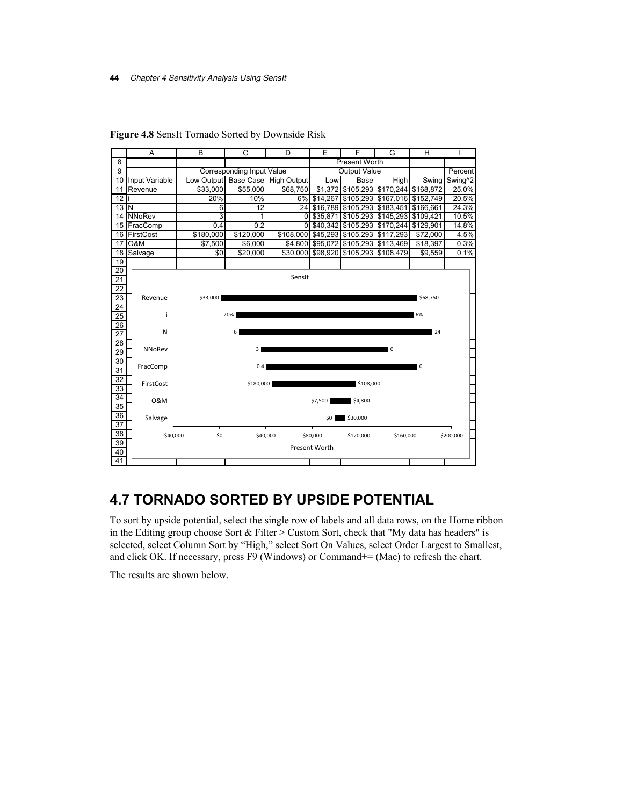#### **44** Chapter 4 Sensitivity Analysis Using SensIt



**Figure 4.8** SensIt Tornado Sorted by Downside Risk

# **4.7 TORNADO SORTED BY UPSIDE POTENTIAL**

To sort by upside potential, select the single row of labels and all data rows, on the Home ribbon in the Editing group choose Sort & Filter > Custom Sort, check that "My data has headers" is selected, select Column Sort by "High," select Sort On Values, select Order Largest to Smallest, and click OK. If necessary, press F9 (Windows) or Command+= (Mac) to refresh the chart.

The results are shown below.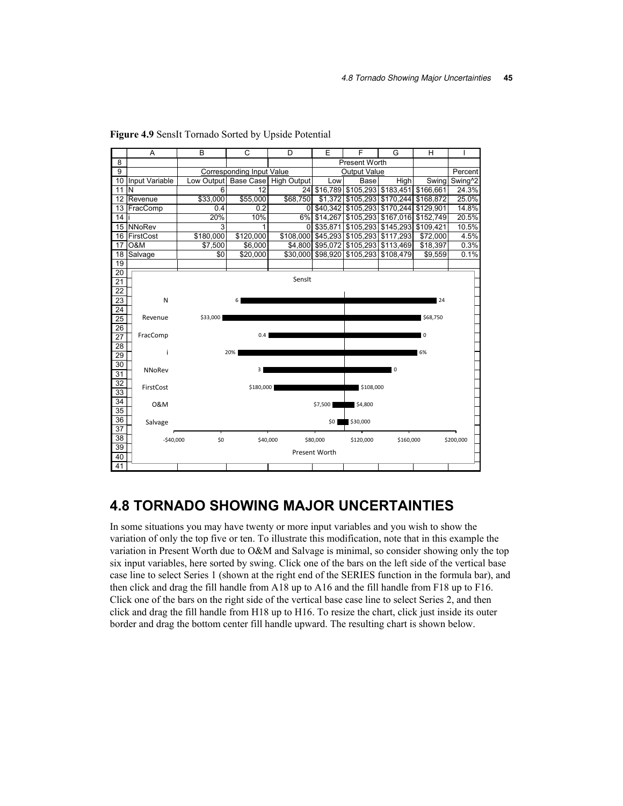

**Figure 4.9** SensIt Tornado Sorted by Upside Potential

## **4.8 TORNADO SHOWING MAJOR UNCERTAINTIES**

In some situations you may have twenty or more input variables and you wish to show the variation of only the top five or ten. To illustrate this modification, note that in this example the variation in Present Worth due to O&M and Salvage is minimal, so consider showing only the top six input variables, here sorted by swing. Click one of the bars on the left side of the vertical base case line to select Series 1 (shown at the right end of the SERIES function in the formula bar), and then click and drag the fill handle from A18 up to A16 and the fill handle from F18 up to F16. Click one of the bars on the right side of the vertical base case line to select Series 2, and then click and drag the fill handle from H18 up to H16. To resize the chart, click just inside its outer border and drag the bottom center fill handle upward. The resulting chart is shown below.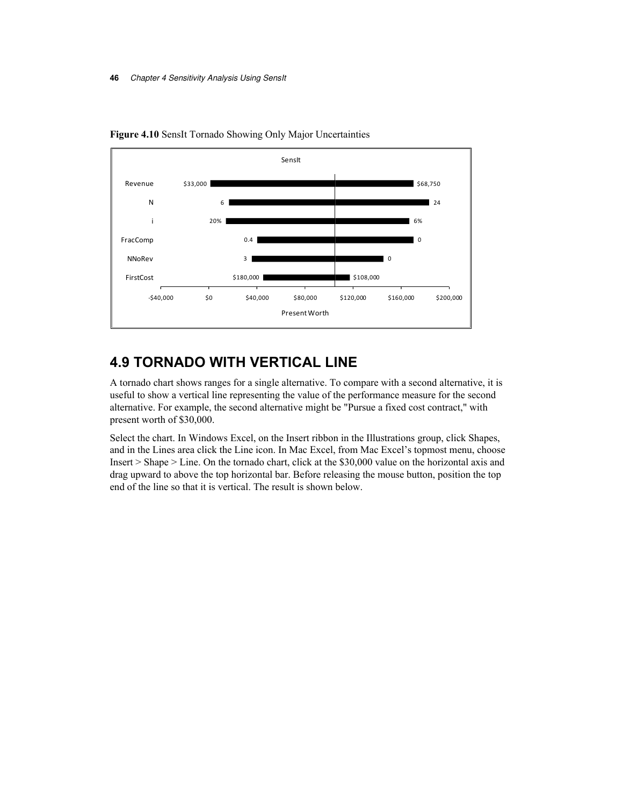

**Figure 4.10** SensIt Tornado Showing Only Major Uncertainties

## **4.9 TORNADO WITH VERTICAL LINE**

A tornado chart shows ranges for a single alternative. To compare with a second alternative, it is useful to show a vertical line representing the value of the performance measure for the second alternative. For example, the second alternative might be "Pursue a fixed cost contract," with present worth of \$30,000.

Select the chart. In Windows Excel, on the Insert ribbon in the Illustrations group, click Shapes, and in the Lines area click the Line icon. In Mac Excel, from Mac Excel's topmost menu, choose Insert > Shape > Line. On the tornado chart, click at the \$30,000 value on the horizontal axis and drag upward to above the top horizontal bar. Before releasing the mouse button, position the top end of the line so that it is vertical. The result is shown below.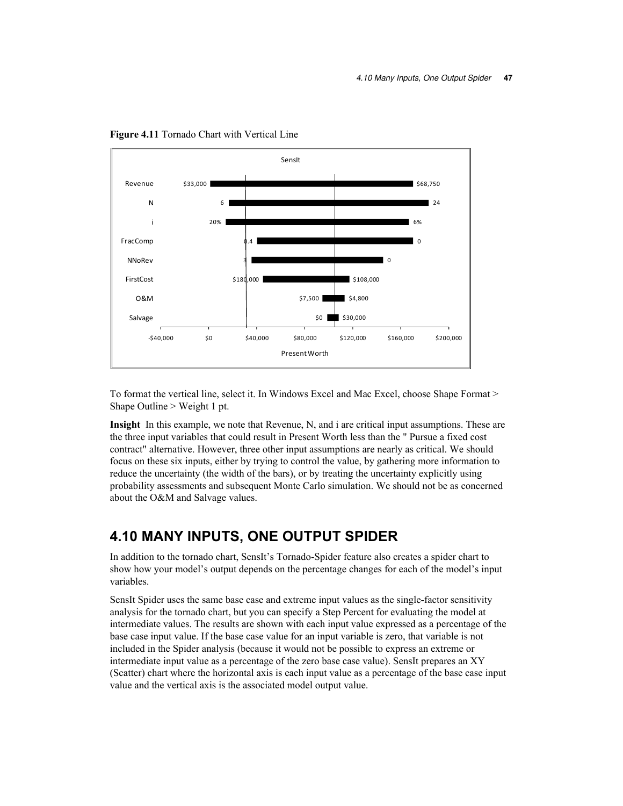

**Figure 4.11** Tornado Chart with Vertical Line

To format the vertical line, select it. In Windows Excel and Mac Excel, choose Shape Format > Shape Outline > Weight 1 pt.

**Insight** In this example, we note that Revenue, N, and i are critical input assumptions. These are the three input variables that could result in Present Worth less than the " Pursue a fixed cost contract" alternative. However, three other input assumptions are nearly as critical. We should focus on these six inputs, either by trying to control the value, by gathering more information to reduce the uncertainty (the width of the bars), or by treating the uncertainty explicitly using probability assessments and subsequent Monte Carlo simulation. We should not be as concerned about the O&M and Salvage values.

## **4.10 MANY INPUTS, ONE OUTPUT SPIDER**

In addition to the tornado chart, SensIt's Tornado-Spider feature also creates a spider chart to show how your model's output depends on the percentage changes for each of the model's input variables.

SensIt Spider uses the same base case and extreme input values as the single-factor sensitivity analysis for the tornado chart, but you can specify a Step Percent for evaluating the model at intermediate values. The results are shown with each input value expressed as a percentage of the base case input value. If the base case value for an input variable is zero, that variable is not included in the Spider analysis (because it would not be possible to express an extreme or intermediate input value as a percentage of the zero base case value). SensIt prepares an XY (Scatter) chart where the horizontal axis is each input value as a percentage of the base case input value and the vertical axis is the associated model output value.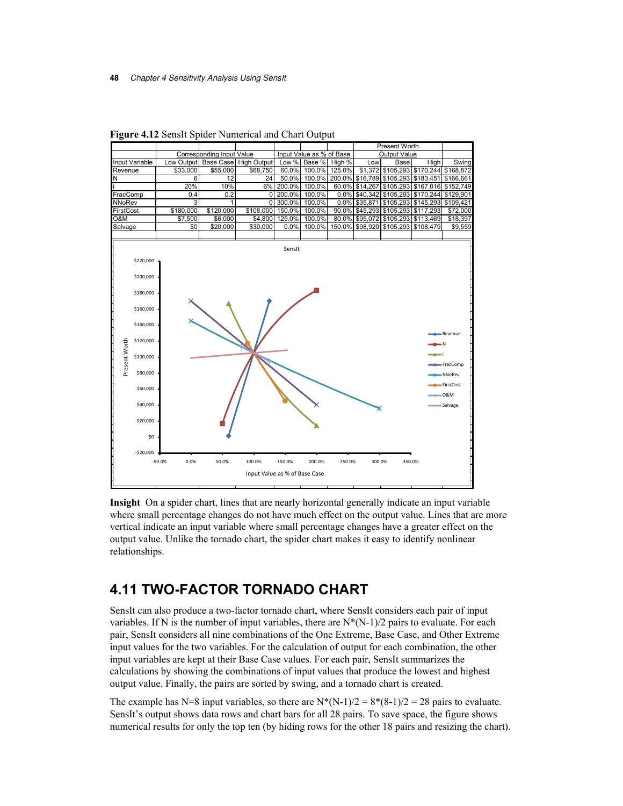|                                                                                                                                                                               |                  |                                  |                                         |                  |                          |        | <b>Present Worth</b> |                                               |           |                                                                          |
|-------------------------------------------------------------------------------------------------------------------------------------------------------------------------------|------------------|----------------------------------|-----------------------------------------|------------------|--------------------------|--------|----------------------|-----------------------------------------------|-----------|--------------------------------------------------------------------------|
|                                                                                                                                                                               |                  | <b>Corresponding Input Value</b> |                                         |                  | Input Value as % of Base |        |                      | <b>Output Value</b>                           |           |                                                                          |
| Input Variable                                                                                                                                                                | Low Output       | <b>Base Case</b>                 | <b>High Output</b>                      | Low %            | Base %                   | High % | Low                  | <b>Base</b>                                   | High      | Swing                                                                    |
| Revenue                                                                                                                                                                       | \$33,000         | \$55,000                         | \$68,750                                | 60.0%            | 100.0%                   | 125.0% | \$1,372              | \$105,293                                     |           | \$170,244 \$168,872                                                      |
| N                                                                                                                                                                             | 6                | 12                               | 24                                      | 50.0%            | 100.0%                   |        |                      | 200.0% \$16,789 \$105,293 \$183,451 \$166,661 |           |                                                                          |
|                                                                                                                                                                               | 20%              | 10%                              | 6%                                      | 200.0%           | 100.0%                   | 60.0%  | \$14,267             | \$105,293                                     |           | \$167,016 \$152,749                                                      |
| FracComp                                                                                                                                                                      | 0.4              | 0.2                              | 0                                       | 200.0%           | 100.0%                   | 0.0%   | \$40,342             | \$105,293                                     | \$170,244 | \$129,901                                                                |
| NNoRev                                                                                                                                                                        | 3                | 1                                | $\Omega$                                | 300.0%           | 100.0%                   | 0.0%   | \$35,871             | \$105,293                                     | \$145,293 | \$109,421                                                                |
| FirstCost                                                                                                                                                                     | \$180,000        | \$120,000                        | \$108,000                               | 150.0%           | 100.0%                   | 90.0%  | \$45,293             | \$105,293                                     | \$117,293 | \$72,000                                                                 |
| 0&M                                                                                                                                                                           | \$7,500          | \$6,000                          |                                         | \$4,800 125.0%   | 100.0%                   | 80.0%  | \$95,072             | \$105,293                                     | \$113,469 | \$18,397                                                                 |
| Salvage                                                                                                                                                                       | \$0              | \$20,000                         | \$30,000                                | 0.0%             | 100.0%                   | 150.0% | \$98,920             | \$105,293                                     | \$108,479 | \$9,559                                                                  |
| \$220,000<br>\$200,000<br>\$180,000<br>\$160,000<br>\$140,000<br>Present Worth<br>\$120,000<br>\$100,000<br>\$80,000<br>\$60,000<br>\$40,000<br>\$20,000<br>\$0<br>$-520.000$ | $-50.0%$<br>0.0% | 50.0%                            | 100.0%<br>Input Value as % of Base Case | SensIt<br>150.0% | 200.0%                   | 250.0% | 300.0%               | 350.0%                                        |           | Revenue<br>۰N<br>FracComp<br>-NNoRev<br>-FirstCost<br>$-0$ &M<br>Salvage |

**Figure 4.12** SensIt Spider Numerical and Chart Output

**Insight** On a spider chart, lines that are nearly horizontal generally indicate an input variable where small percentage changes do not have much effect on the output value. Lines that are more vertical indicate an input variable where small percentage changes have a greater effect on the output value. Unlike the tornado chart, the spider chart makes it easy to identify nonlinear relationships.

# **4.11 TWO-FACTOR TORNADO CHART**

SensIt can also produce a two-factor tornado chart, where SensIt considers each pair of input variables. If N is the number of input variables, there are  $N^*(N-1)/2$  pairs to evaluate. For each pair, SensIt considers all nine combinations of the One Extreme, Base Case, and Other Extreme input values for the two variables. For the calculation of output for each combination, the other input variables are kept at their Base Case values. For each pair, SensIt summarizes the calculations by showing the combinations of input values that produce the lowest and highest output value. Finally, the pairs are sorted by swing, and a tornado chart is created.

The example has N=8 input variables, so there are N\*(N-1)/2 =  $8*(8-1)/2 = 28$  pairs to evaluate. SensIt's output shows data rows and chart bars for all 28 pairs. To save space, the figure shows numerical results for only the top ten (by hiding rows for the other 18 pairs and resizing the chart).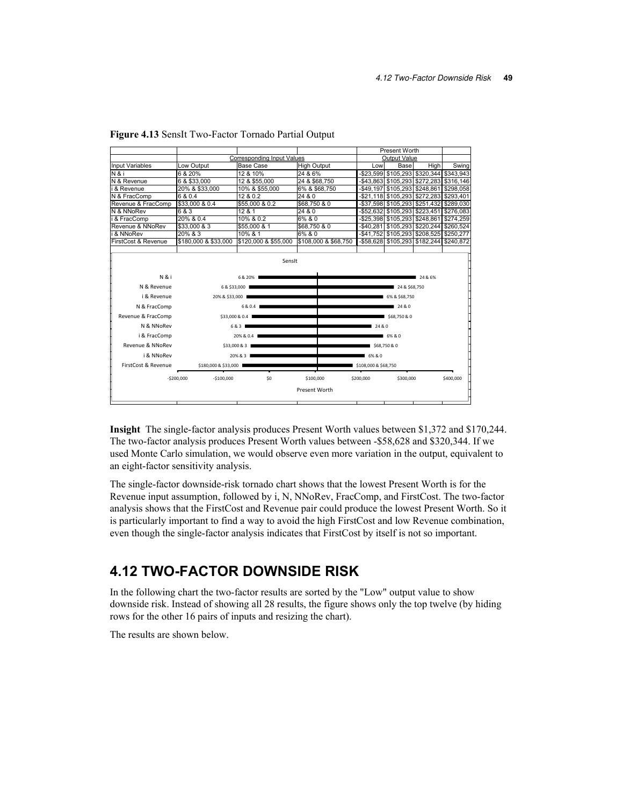|                        |                                   |                      |                      |                      | Present Worth                                 |              |           |  |
|------------------------|-----------------------------------|----------------------|----------------------|----------------------|-----------------------------------------------|--------------|-----------|--|
|                        | <b>Corresponding Input Values</b> |                      |                      | Output Value         |                                               |              |           |  |
| <b>Input Variables</b> | Low Output                        | <b>Base Case</b>     | <b>High Output</b>   | Low                  | Base                                          | <b>High</b>  | Swing     |  |
| N & i                  | 6 & 20%                           | 12 & 10%             | 24 & 6%              |                      | -\$23.599 \$105.293 \$320.344 \$343.943       |              |           |  |
| N & Revenue            | 6 & \$33,000                      | 12 & \$55,000        | 24 & \$68,750        |                      | -\$43,863 \$105,293 \$272,283 \$316,146       |              |           |  |
| i & Revenue            | 20% & \$33,000                    | 10% & \$55,000       | 6% & \$68,750        |                      | -\$49,197   \$105,293   \$248,861   \$298,058 |              |           |  |
| N & FracComp           | 6 & 0.4                           | 12 & 0.2             | 24 & 0               |                      | -\$21,118 \$105,293 \$272,283 \$293,401       |              |           |  |
| Revenue & FracComp     | \$33,000 & 0.4                    | \$55,000 & 0.2       | \$68,750 & 0         |                      | -\$37,598 \$105,293 \$251,432 \$289,030       |              |           |  |
| N & NNoRev             | 6 & 3                             | 12 & 1               | 24 & 0               |                      | -\$52,632 \$105,293 \$223,451                 |              | \$276,083 |  |
| & FracComp             | 20% & 0.4                         | 10% & 0.2            | 6% & 0               |                      | -\$25,398 \$105,293 \$248,861                 |              | \$274,259 |  |
| Revenue & NNoRev       | \$33,000 & 3                      | \$55,000 & 1         | \$68,750 & 0         |                      | -\$40,281 \$105,293 \$220,244 \$260,524       |              |           |  |
| i & NNoRev             | 20% & 3                           | 10% & 1              | 6% & 0               |                      | -\$41,752 \$105,293 \$208,525 \$250,277       |              |           |  |
| FirstCost & Revenue    | \$180,000 & \$33,000              | \$120,000 & \$55,000 | \$108,000 & \$68,750 |                      | -\$58,628 \$105,293 \$182,244                 |              | \$240,872 |  |
|                        |                                   |                      |                      |                      |                                               |              |           |  |
|                        |                                   | Sensit               |                      |                      |                                               |              |           |  |
|                        |                                   |                      |                      |                      |                                               |              |           |  |
| N & i                  |                                   | 6 & 20%              |                      |                      |                                               | 24 & 6%      |           |  |
| N & Revenue            | 6 & \$33,000                      |                      |                      |                      | 24 & \$68,750                                 |              |           |  |
| i & Revenue            | 20% & \$33,000                    |                      |                      |                      | 6% & \$68,750                                 |              |           |  |
| N & FracComp           |                                   | 6 & 0.4              | 24 & 0               |                      |                                               |              |           |  |
| Revenue & FracComp     | \$33,000 & 0.4                    |                      |                      |                      |                                               | \$68,750 & 0 |           |  |
| N & NNoRev             |                                   | 6 & 3                |                      |                      |                                               | 24 & 0       |           |  |
| i & FracComp           |                                   | 20% & 0.4            |                      |                      | 6%&0                                          |              |           |  |
| Revenue & NNoRev       |                                   | \$33,000 & 3         |                      |                      | \$68,750 & 0                                  |              |           |  |
| i & NNoRev             |                                   | 20% & 3              |                      | 6% & 0               |                                               |              |           |  |
| FirstCost & Revenue    | \$180,000 & \$33,000              |                      |                      | \$108,000 & \$68,750 |                                               |              |           |  |
|                        | $-5100,000$<br>$-5200,000$        | \$0                  | \$100,000            | \$200,000            | \$300,000                                     |              | \$400,000 |  |
|                        |                                   |                      | Present Worth        |                      |                                               |              |           |  |
|                        |                                   |                      |                      |                      |                                               |              |           |  |
|                        |                                   |                      |                      |                      |                                               |              |           |  |

| Figure 4.13 SensIt Two-Factor Tornado Partial Output |  |  |  |  |  |
|------------------------------------------------------|--|--|--|--|--|
|------------------------------------------------------|--|--|--|--|--|

**Insight** The single-factor analysis produces Present Worth values between \$1,372 and \$170,244. The two-factor analysis produces Present Worth values between -\$58,628 and \$320,344. If we used Monte Carlo simulation, we would observe even more variation in the output, equivalent to an eight-factor sensitivity analysis.

The single-factor downside-risk tornado chart shows that the lowest Present Worth is for the Revenue input assumption, followed by i, N, NNoRev, FracComp, and FirstCost. The two-factor analysis shows that the FirstCost and Revenue pair could produce the lowest Present Worth. So it is particularly important to find a way to avoid the high FirstCost and low Revenue combination, even though the single-factor analysis indicates that FirstCost by itself is not so important.

## **4.12 TWO-FACTOR DOWNSIDE RISK**

In the following chart the two-factor results are sorted by the "Low" output value to show downside risk. Instead of showing all 28 results, the figure shows only the top twelve (by hiding rows for the other 16 pairs of inputs and resizing the chart).

The results are shown below.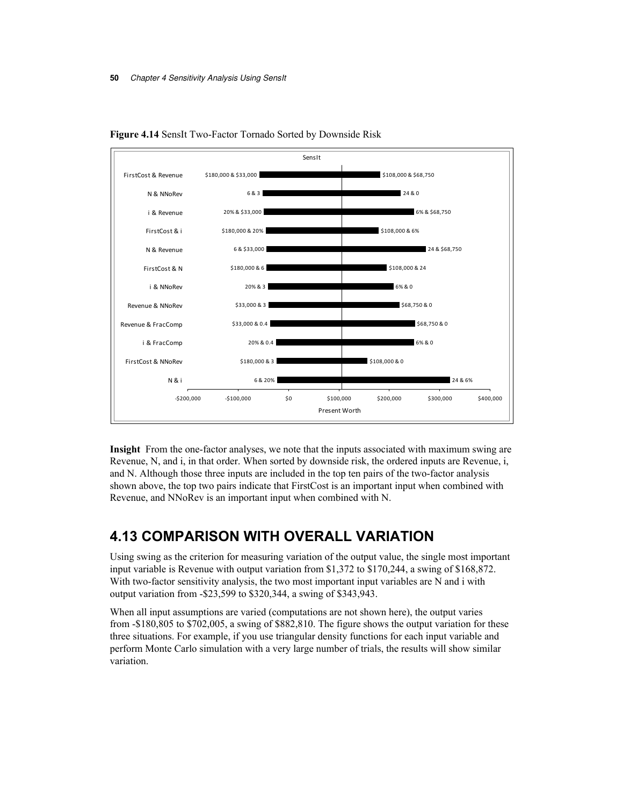



**Insight** From the one-factor analyses, we note that the inputs associated with maximum swing are Revenue, N, and i, in that order. When sorted by downside risk, the ordered inputs are Revenue, i, and N. Although those three inputs are included in the top ten pairs of the two-factor analysis shown above, the top two pairs indicate that FirstCost is an important input when combined with Revenue, and NNoRev is an important input when combined with N.

# **4.13 COMPARISON WITH OVERALL VARIATION**

Using swing as the criterion for measuring variation of the output value, the single most important input variable is Revenue with output variation from \$1,372 to \$170,244, a swing of \$168,872. With two-factor sensitivity analysis, the two most important input variables are N and i with output variation from -\$23,599 to \$320,344, a swing of \$343,943.

When all input assumptions are varied (computations are not shown here), the output varies from -\$180,805 to \$702,005, a swing of \$882,810. The figure shows the output variation for these three situations. For example, if you use triangular density functions for each input variable and perform Monte Carlo simulation with a very large number of trials, the results will show similar variation.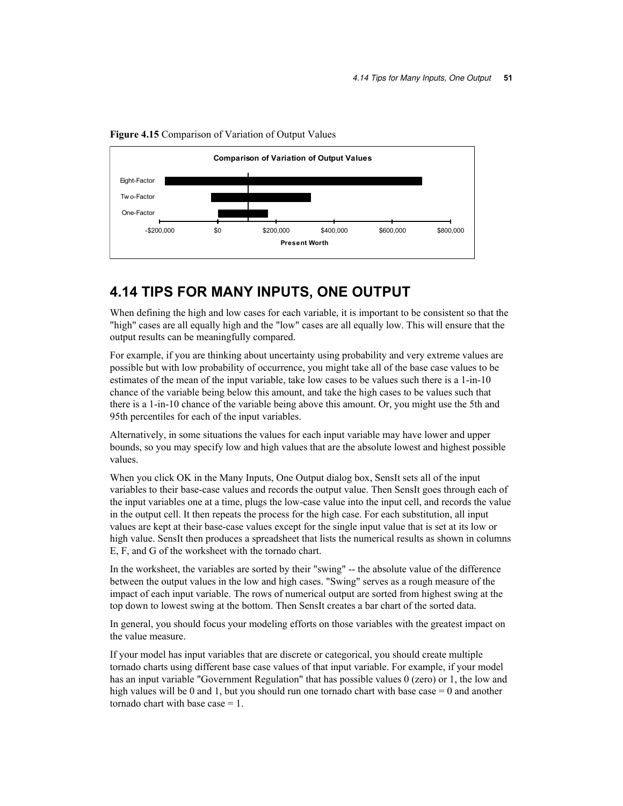

**Figure 4.15** Comparison of Variation of Output Values

## **4.14 TIPS FOR MANY INPUTS, ONE OUTPUT**

When defining the high and low cases for each variable, it is important to be consistent so that the "high" cases are all equally high and the "low" cases are all equally low. This will ensure that the output results can be meaningfully compared.

For example, if you are thinking about uncertainty using probability and very extreme values are possible but with low probability of occurrence, you might take all of the base case values to be estimates of the mean of the input variable, take low cases to be values such there is a 1-in-10 chance of the variable being below this amount, and take the high cases to be values such that there is a 1-in-10 chance of the variable being above this amount. Or, you might use the 5th and 95th percentiles for each of the input variables.

Alternatively, in some situations the values for each input variable may have lower and upper bounds, so you may specify low and high values that are the absolute lowest and highest possible values.

When you click OK in the Many Inputs, One Output dialog box, SensIt sets all of the input variables to their base-case values and records the output value. Then SensIt goes through each of the input variables one at a time, plugs the low-case value into the input cell, and records the value in the output cell. It then repeats the process for the high case. For each substitution, all input values are kept at their base-case values except for the single input value that is set at its low or high value. SensIt then produces a spreadsheet that lists the numerical results as shown in columns E, F, and G of the worksheet with the tornado chart.

In the worksheet, the variables are sorted by their "swing" -- the absolute value of the difference between the output values in the low and high cases. "Swing" serves as a rough measure of the impact of each input variable. The rows of numerical output are sorted from highest swing at the top down to lowest swing at the bottom. Then SensIt creates a bar chart of the sorted data.

In general, you should focus your modeling efforts on those variables with the greatest impact on the value measure.

If your model has input variables that are discrete or categorical, you should create multiple tornado charts using different base case values of that input variable. For example, if your model has an input variable "Government Regulation" that has possible values 0 (zero) or 1, the low and high values will be 0 and 1, but you should run one tornado chart with base case  $= 0$  and another tornado chart with base case  $= 1$ .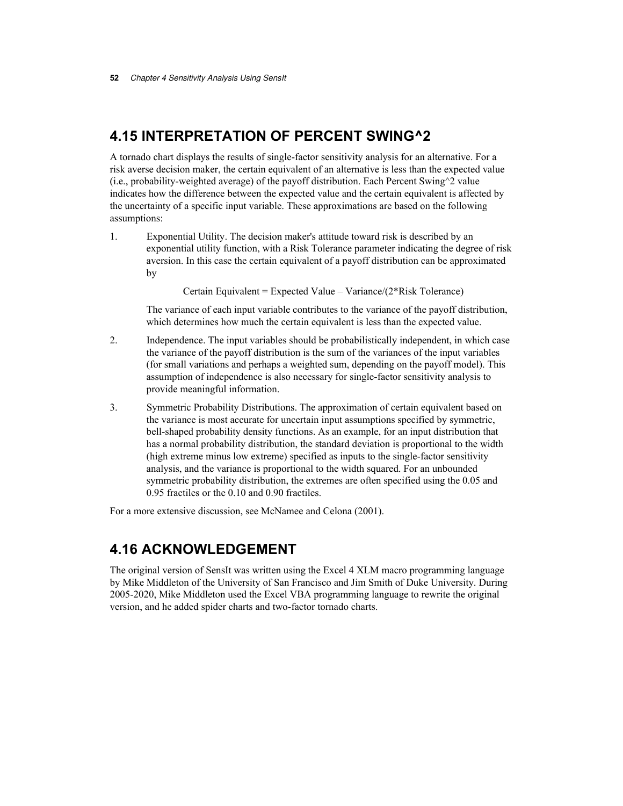## **4.15 INTERPRETATION OF PERCENT SWING^2**

A tornado chart displays the results of single-factor sensitivity analysis for an alternative. For a risk averse decision maker, the certain equivalent of an alternative is less than the expected value (i.e., probability-weighted average) of the payoff distribution. Each Percent Swing^2 value indicates how the difference between the expected value and the certain equivalent is affected by the uncertainty of a specific input variable. These approximations are based on the following assumptions:

1. Exponential Utility. The decision maker's attitude toward risk is described by an exponential utility function, with a Risk Tolerance parameter indicating the degree of risk aversion. In this case the certain equivalent of a payoff distribution can be approximated by

Certain Equivalent = Expected Value – Variance/(2\*Risk Tolerance)

 The variance of each input variable contributes to the variance of the payoff distribution, which determines how much the certain equivalent is less than the expected value.

- 2. Independence. The input variables should be probabilistically independent, in which case the variance of the payoff distribution is the sum of the variances of the input variables (for small variations and perhaps a weighted sum, depending on the payoff model). This assumption of independence is also necessary for single-factor sensitivity analysis to provide meaningful information.
- 3. Symmetric Probability Distributions. The approximation of certain equivalent based on the variance is most accurate for uncertain input assumptions specified by symmetric, bell-shaped probability density functions. As an example, for an input distribution that has a normal probability distribution, the standard deviation is proportional to the width (high extreme minus low extreme) specified as inputs to the single-factor sensitivity analysis, and the variance is proportional to the width squared. For an unbounded symmetric probability distribution, the extremes are often specified using the 0.05 and 0.95 fractiles or the 0.10 and 0.90 fractiles.

For a more extensive discussion, see McNamee and Celona (2001).

## **4.16 ACKNOWLEDGEMENT**

The original version of SensIt was written using the Excel 4 XLM macro programming language by Mike Middleton of the University of San Francisco and Jim Smith of Duke University. During 2005-2020, Mike Middleton used the Excel VBA programming language to rewrite the original version, and he added spider charts and two-factor tornado charts.